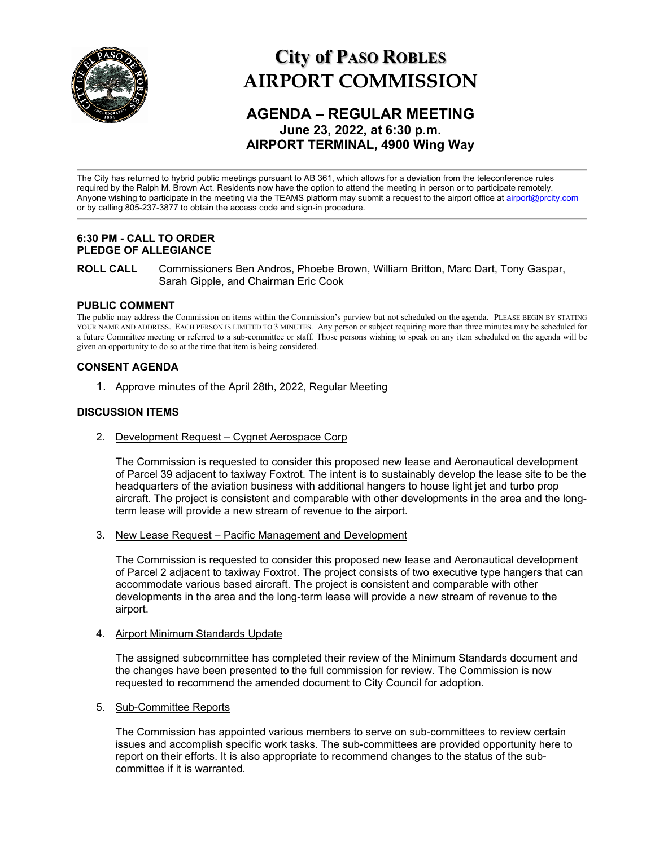

# **City of PASO ROBLES AIRPORT COMMISSION**

# **AGENDA – REGULAR MEETING June 23, 2022, at 6:30 p.m. AIRPORT TERMINAL, 4900 Wing Way**

The City has returned to hybrid public meetings pursuant to AB 361, which allows for a deviation from the teleconference rules required by the Ralph M. Brown Act. Residents now have the option to attend the meeting in person or to participate remotely. Anyone wishing to participate in the meeting via the TEAMS platform may submit a request to the airport office a[t airport@prcity.com](mailto:airport@prcity.com) or by calling 805-237-3877 to obtain the access code and sign-in procedure.

# **6:30 PM - CALL TO ORDER PLEDGE OF ALLEGIANCE**

**ROLL CALL** Commissioners Ben Andros, Phoebe Brown, William Britton, Marc Dart, Tony Gaspar, Sarah Gipple, and Chairman Eric Cook

# **PUBLIC COMMENT**

The public may address the Commission on items within the Commission's purview but not scheduled on the agenda. PLEASE BEGIN BY STATING YOUR NAME AND ADDRESS. EACH PERSON IS LIMITED TO 3 MINUTES. Any person or subject requiring more than three minutes may be scheduled for a future Committee meeting or referred to a sub-committee or staff. Those persons wishing to speak on any item scheduled on the agenda will be given an opportunity to do so at the time that item is being considered.

# **CONSENT AGENDA**

1. Approve minutes of the April 28th, 2022, Regular Meeting

# **DISCUSSION ITEMS**

2. Development Request – Cygnet Aerospace Corp

The Commission is requested to consider this proposed new lease and Aeronautical development of Parcel 39 adjacent to taxiway Foxtrot. The intent is to sustainably develop the lease site to be the headquarters of the aviation business with additional hangers to house light jet and turbo prop aircraft. The project is consistent and comparable with other developments in the area and the longterm lease will provide a new stream of revenue to the airport.

3. New Lease Request – Pacific Management and Development

The Commission is requested to consider this proposed new lease and Aeronautical development of Parcel 2 adjacent to taxiway Foxtrot. The project consists of two executive type hangers that can accommodate various based aircraft. The project is consistent and comparable with other developments in the area and the long-term lease will provide a new stream of revenue to the airport.

# 4. Airport Minimum Standards Update

The assigned subcommittee has completed their review of the Minimum Standards document and the changes have been presented to the full commission for review. The Commission is now requested to recommend the amended document to City Council for adoption.

5. Sub-Committee Reports

The Commission has appointed various members to serve on sub-committees to review certain issues and accomplish specific work tasks. The sub-committees are provided opportunity here to report on their efforts. It is also appropriate to recommend changes to the status of the subcommittee if it is warranted.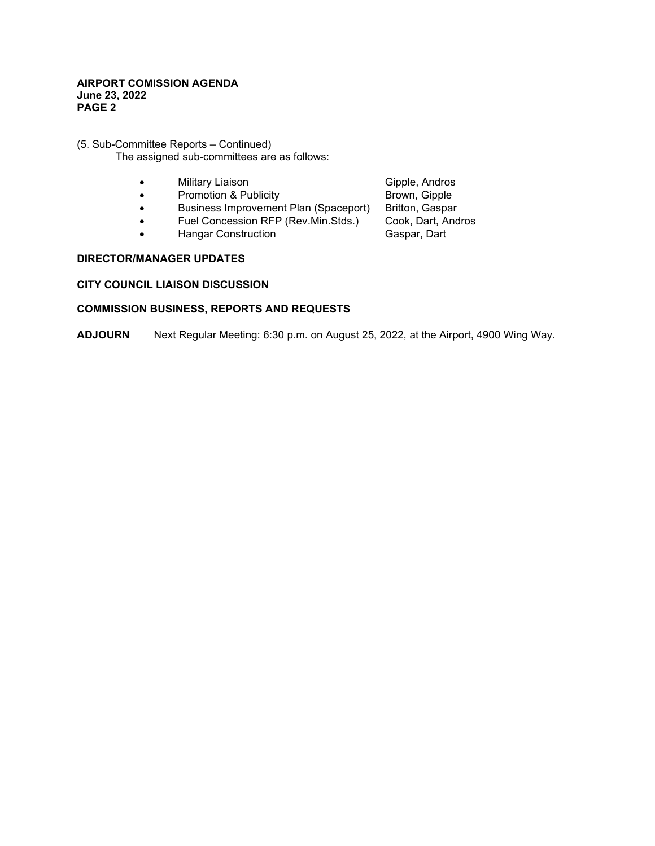# **AIRPORT COMISSION AGENDA June 23, 2022 PAGE 2**

# (5. Sub-Committee Reports – Continued) The assigned sub-committees are as follows:

- 
- Military Liaison Gipple, Andros • Promotion & Publicity
- Business Improvement Plan (Spaceport) Britton, Gaspar
- Fuel Concession RFP (Rev.Min.Stds.) Cook, Dart, Andros
- Hangar Construction

# **DIRECTOR/MANAGER UPDATES**

# **CITY COUNCIL LIAISON DISCUSSION**

# **COMMISSION BUSINESS, REPORTS AND REQUESTS**

**ADJOURN** Next Regular Meeting: 6:30 p.m. on August 25, 2022, at the Airport, 4900 Wing Way.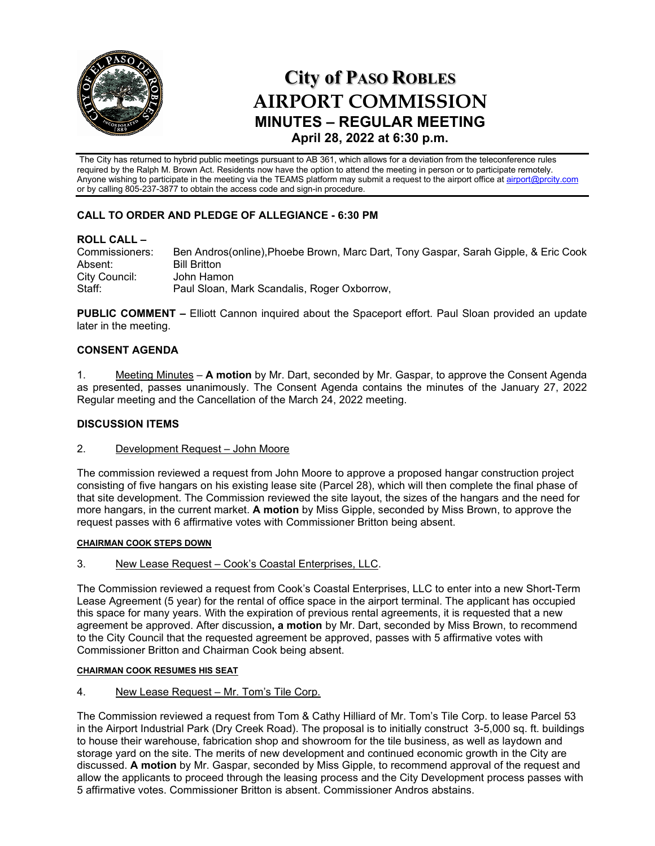

# **City of PASO ROBLES AIRPORT COMMISSION MINUTES – REGULAR MEETING April 28, 2022 at 6:30 p.m.**

The City has returned to hybrid public meetings pursuant to AB 361, which allows for a deviation from the teleconference rules required by the Ralph M. Brown Act. Residents now have the option to attend the meeting in person or to participate remotely. Anyone wishing to participate in the meeting via the TEAMS platform may submit a request to the airport office a[t airport@prcity.com](mailto:airport@prcity.com) or by calling 805-237-3877 to obtain the access code and sign-in procedure.

# **CALL TO ORDER AND PLEDGE OF ALLEGIANCE - 6:30 PM**

**ROLL CALL –** Ben Andros(online), Phoebe Brown, Marc Dart, Tony Gaspar, Sarah Gipple, & Eric Cook Absent: Bill Britton City Council: John Hamon<br>Staff: Paul Sloan N Paul Sloan, Mark Scandalis, Roger Oxborrow,

**PUBLIC COMMENT –** Elliott Cannon inquired about the Spaceport effort. Paul Sloan provided an update later in the meeting.

# **CONSENT AGENDA**

1. Meeting Minutes – **A motion** by Mr. Dart, seconded by Mr. Gaspar, to approve the Consent Agenda as presented, passes unanimously. The Consent Agenda contains the minutes of the January 27, 2022 Regular meeting and the Cancellation of the March 24, 2022 meeting.

# **DISCUSSION ITEMS**

2. Development Request – John Moore

The commission reviewed a request from John Moore to approve a proposed hangar construction project consisting of five hangars on his existing lease site (Parcel 28), which will then complete the final phase of that site development. The Commission reviewed the site layout, the sizes of the hangars and the need for more hangars, in the current market. **A motion** by Miss Gipple, seconded by Miss Brown, to approve the request passes with 6 affirmative votes with Commissioner Britton being absent.

# **CHAIRMAN COOK STEPS DOWN**

3. New Lease Request - Cook's Coastal Enterprises, LLC.

The Commission reviewed a request from Cook's Coastal Enterprises, LLC to enter into a new Short-Term Lease Agreement (5 year) for the rental of office space in the airport terminal. The applicant has occupied this space for many years. With the expiration of previous rental agreements, it is requested that a new agreement be approved. After discussion**, a motion** by Mr. Dart, seconded by Miss Brown, to recommend to the City Council that the requested agreement be approved, passes with 5 affirmative votes with Commissioner Britton and Chairman Cook being absent.

# **CHAIRMAN COOK RESUMES HIS SEAT**

4. New Lease Request – Mr. Tom's Tile Corp.

The Commission reviewed a request from Tom & Cathy Hilliard of Mr. Tom's Tile Corp. to lease Parcel 53 in the Airport Industrial Park (Dry Creek Road). The proposal is to initially construct 3-5,000 sq. ft. buildings to house their warehouse, fabrication shop and showroom for the tile business, as well as laydown and storage yard on the site. The merits of new development and continued economic growth in the City are discussed. **A motion** by Mr. Gaspar, seconded by Miss Gipple, to recommend approval of the request and allow the applicants to proceed through the leasing process and the City Development process passes with 5 affirmative votes. Commissioner Britton is absent. Commissioner Andros abstains.